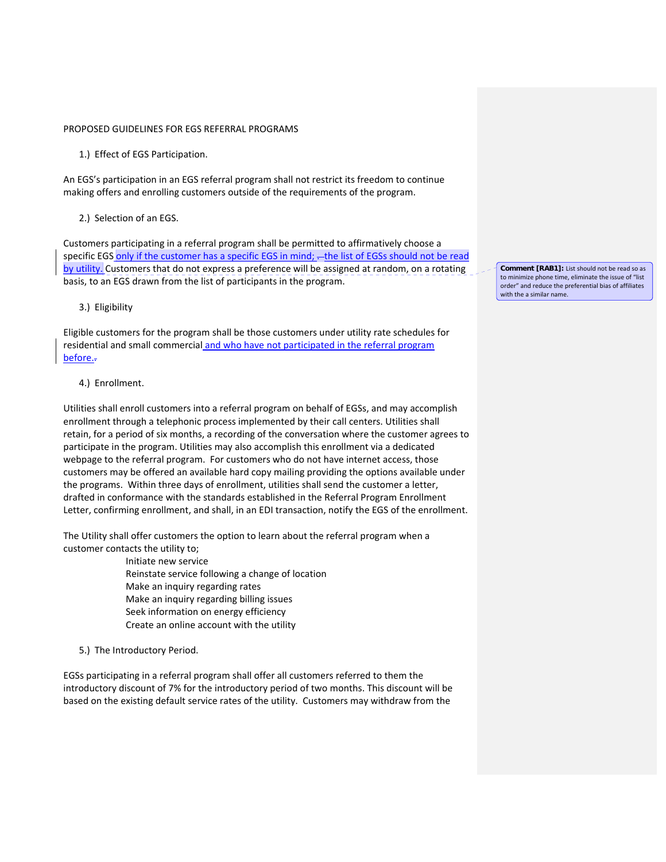### PROPOSED GUIDELINES FOR EGS REFERRAL PROGRAMS

1.) Effect of EGS Participation.

An EGS's participation in an EGS referral program shall not restrict its freedom to continue making offers and enrolling customers outside of the requirements of the program.

## 2.) Selection of an EGS.

Customers participating in a referral program shall be permitted to affirmatively choose a specific EGS only if the customer has a specific EGS in mind; - the list of EGSs should not be read by utility. Customers that do not express a preference will be assigned at random, on a rotating basis, to an EGS drawn from the list of participants in the program.

## 3.) Eligibility

Eligible customers for the program shall be those customers under utility rate schedules for residential and small commercial and who have not participated in the referral program before..

## 4.) Enrollment.

Utilities shall enroll customers into a referral program on behalf of EGSs, and may accomplish enrollment through a telephonic process implemented by their call centers. Utilities shall retain, for a period of six months, a recording of the conversation where the customer agrees to participate in the program. Utilities may also accomplish this enrollment via a dedicated webpage to the referral program. For customers who do not have internet access, those customers may be offered an available hard copy mailing providing the options available under the programs. Within three days of enrollment, utilities shall send the customer a letter, drafted in conformance with the standards established in the Referral Program Enrollment Letter, confirming enrollment, and shall, in an EDI transaction, notify the EGS of the enrollment.

The Utility shall offer customers the option to learn about the referral program when a customer contacts the utility to;

> Initiate new service Reinstate service following a change of location Make an inquiry regarding rates Make an inquiry regarding billing issues Seek information on energy efficiency Create an online account with the utility

5.) The Introductory Period.

EGSs participating in a referral program shall offer all customers referred to them the introductory discount of 7% for the introductory period of two months. This discount will be based on the existing default service rates of the utility. Customers may withdraw from the

**Comment [RAB1]:** List should not be read so as to minimize phone time, eliminate the issue of "list order" and reduce the preferential bias of affiliates with the a similar name.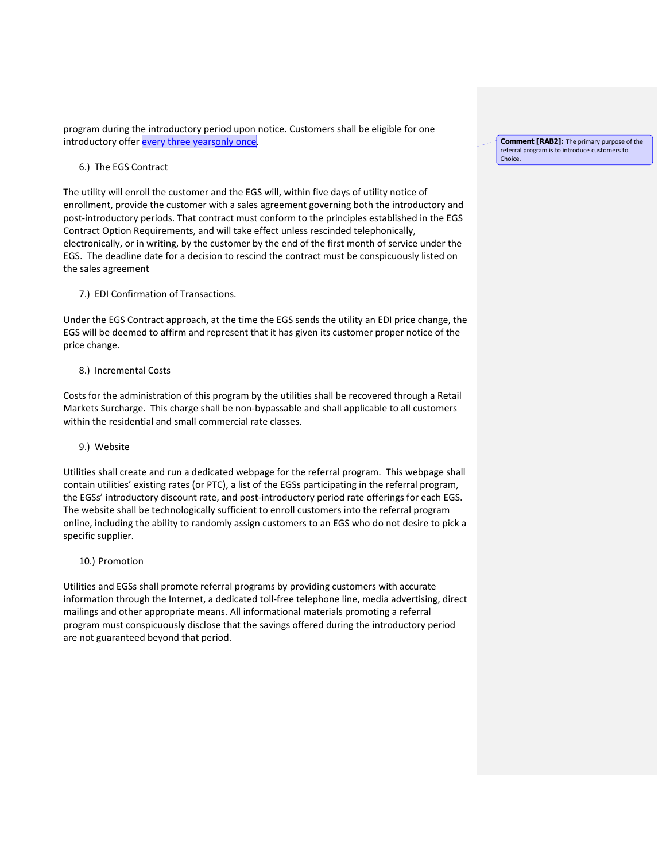program during the introductory period upon notice. Customers shall be eligible for one introductory offer every three yearsonly once.

6.) The EGS Contract

The utility will enroll the customer and the EGS will, within five days of utility notice of enrollment, provide the customer with a sales agreement governing both the introductory and post-introductory periods. That contract must conform to the principles established in the EGS Contract Option Requirements, and will take effect unless rescinded telephonically, electronically, or in writing, by the customer by the end of the first month of service under the EGS. The deadline date for a decision to rescind the contract must be conspicuously listed on the sales agreement

7.) EDI Confirmation of Transactions.

Under the EGS Contract approach, at the time the EGS sends the utility an EDI price change, the EGS will be deemed to affirm and represent that it has given its customer proper notice of the price change.

8.) Incremental Costs

Costs for the administration of this program by the utilities shall be recovered through a Retail Markets Surcharge. This charge shall be non‐bypassable and shall applicable to all customers within the residential and small commercial rate classes.

# 9.) Website

Utilities shall create and run a dedicated webpage for the referral program. This webpage shall contain utilities' existing rates (or PTC), a list of the EGSs participating in the referral program, the EGSs' introductory discount rate, and post-introductory period rate offerings for each EGS. The website shall be technologically sufficient to enroll customers into the referral program online, including the ability to randomly assign customers to an EGS who do not desire to pick a specific supplier.

10.) Promotion

Utilities and EGSs shall promote referral programs by providing customers with accurate information through the Internet, a dedicated toll‐free telephone line, media advertising, direct mailings and other appropriate means. All informational materials promoting a referral program must conspicuously disclose that the savings offered during the introductory period are not guaranteed beyond that period.

**Comment [RAB2]:** The primary purpose of the referral program is to introduce customers to Choice.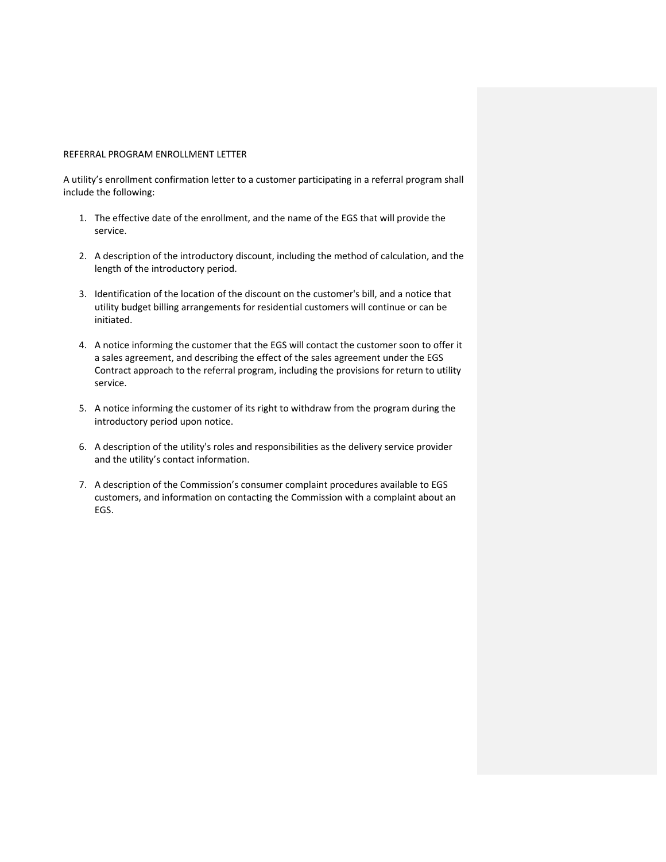#### REFERRAL PROGRAM ENROLLMENT LETTER

A utility's enrollment confirmation letter to a customer participating in a referral program shall include the following:

- 1. The effective date of the enrollment, and the name of the EGS that will provide the service.
- 2. A description of the introductory discount, including the method of calculation, and the length of the introductory period.
- 3. Identification of the location of the discount on the customer's bill, and a notice that utility budget billing arrangements for residential customers will continue or can be initiated.
- 4. A notice informing the customer that the EGS will contact the customer soon to offer it a sales agreement, and describing the effect of the sales agreement under the EGS Contract approach to the referral program, including the provisions for return to utility service.
- 5. A notice informing the customer of its right to withdraw from the program during the introductory period upon notice.
- 6. A description of the utility's roles and responsibilities as the delivery service provider and the utility's contact information.
- 7. A description of the Commission's consumer complaint procedures available to EGS customers, and information on contacting the Commission with a complaint about an EGS.